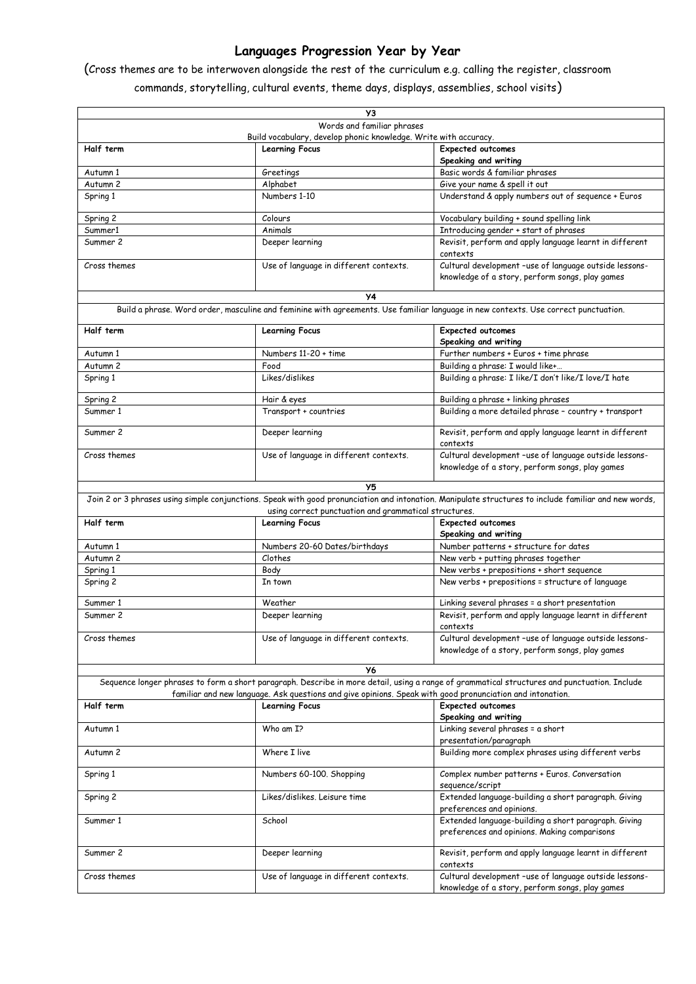## **Languages Progression Year by Year**

(Cross themes are to be interwoven alongside the rest of the curriculum e.g. calling the register, classroom commands, storytelling, cultural events, theme days, displays, assemblies, school visits)

| УЗ                                                                                                                                                                                                                                                        |                                                                  |                                                                                                           |
|-----------------------------------------------------------------------------------------------------------------------------------------------------------------------------------------------------------------------------------------------------------|------------------------------------------------------------------|-----------------------------------------------------------------------------------------------------------|
|                                                                                                                                                                                                                                                           | Words and familiar phrases                                       |                                                                                                           |
|                                                                                                                                                                                                                                                           | Build vocabulary, develop phonic knowledge. Write with accuracy. |                                                                                                           |
| Half term                                                                                                                                                                                                                                                 | <b>Learning Focus</b>                                            | <b>Expected outcomes</b>                                                                                  |
|                                                                                                                                                                                                                                                           |                                                                  | Speaking and writing                                                                                      |
| Autumn 1                                                                                                                                                                                                                                                  | Greetings                                                        | Basic words & familiar phrases                                                                            |
| Autumn 2                                                                                                                                                                                                                                                  | Alphabet                                                         | Give your name & spell it out                                                                             |
| Spring 1                                                                                                                                                                                                                                                  | Numbers 1-10                                                     | Understand & apply numbers out of sequence + Euros                                                        |
| Spring 2                                                                                                                                                                                                                                                  | Colours                                                          | Vocabulary building + sound spelling link                                                                 |
| Summer1                                                                                                                                                                                                                                                   | Animals                                                          | Introducing gender + start of phrases                                                                     |
| Summer 2                                                                                                                                                                                                                                                  | Deeper learning                                                  | Revisit, perform and apply language learnt in different<br>contexts                                       |
| Cross themes                                                                                                                                                                                                                                              | Use of language in different contexts.                           | Cultural development -use of language outside lessons-<br>knowledge of a story, perform songs, play games |
| У4                                                                                                                                                                                                                                                        |                                                                  |                                                                                                           |
| Build a phrase. Word order, masculine and feminine with agreements. Use familiar language in new contexts. Use correct punctuation.                                                                                                                       |                                                                  |                                                                                                           |
| Half term                                                                                                                                                                                                                                                 | <b>Learning Focus</b>                                            | <b>Expected outcomes</b>                                                                                  |
|                                                                                                                                                                                                                                                           |                                                                  | Speaking and writing                                                                                      |
| Autumn 1                                                                                                                                                                                                                                                  | Numbers 11-20 + time                                             | Further numbers + Euros + time phrase                                                                     |
| Autumn 2                                                                                                                                                                                                                                                  | Food                                                             | Building a phrase: I would like+                                                                          |
| Spring 1                                                                                                                                                                                                                                                  | Likes/dislikes                                                   | Building a phrase: I like/I don't like/I love/I hate                                                      |
| Spring 2                                                                                                                                                                                                                                                  | Hair & eyes                                                      | Building a phrase + linking phrases                                                                       |
| Summer 1                                                                                                                                                                                                                                                  | Transport + countries                                            | Building a more detailed phrase - country + transport                                                     |
| Summer 2                                                                                                                                                                                                                                                  | Deeper learning                                                  | Revisit, perform and apply language learnt in different<br>contexts                                       |
| Cross themes                                                                                                                                                                                                                                              | Use of language in different contexts.                           | Cultural development -use of language outside lessons-<br>knowledge of a story, perform songs, play games |
|                                                                                                                                                                                                                                                           |                                                                  |                                                                                                           |
| Y5                                                                                                                                                                                                                                                        |                                                                  |                                                                                                           |
| Join 2 or 3 phrases using simple conjunctions. Speak with good pronunciation and intonation. Manipulate structures to include familiar and new words,                                                                                                     |                                                                  |                                                                                                           |
| using correct punctuation and grammatical structures.                                                                                                                                                                                                     |                                                                  |                                                                                                           |
| Half term                                                                                                                                                                                                                                                 | <b>Learning Focus</b>                                            | <b>Expected outcomes</b><br>Speaking and writing                                                          |
| Autumn 1                                                                                                                                                                                                                                                  | Numbers 20-60 Dates/birthdays                                    | Number patterns + structure for dates                                                                     |
| Autumn 2                                                                                                                                                                                                                                                  | Clothes                                                          | New verb + putting phrases together                                                                       |
| Spring 1                                                                                                                                                                                                                                                  | Body                                                             | New verbs + prepositions + short sequence                                                                 |
| Spring 2                                                                                                                                                                                                                                                  | In town                                                          | New verbs + prepositions = structure of language                                                          |
| Summer 1                                                                                                                                                                                                                                                  | Weather                                                          | Linking several phrases = a short presentation                                                            |
| Summer 2                                                                                                                                                                                                                                                  | Deeper learning                                                  | Revisit, perform and apply language learnt in different<br>contexts                                       |
| Cross themes                                                                                                                                                                                                                                              | Use of language in different contexts.                           | Cultural development -use of language outside lessons-<br>knowledge of a story, perform songs, play games |
| У6                                                                                                                                                                                                                                                        |                                                                  |                                                                                                           |
| Sequence longer phrases to form a short paragraph. Describe in more detail, using a range of grammatical structures and punctuation. Include<br>familiar and new language. Ask questions and give opinions. Speak with good pronunciation and intonation. |                                                                  |                                                                                                           |
| Half term                                                                                                                                                                                                                                                 | <b>Learning Focus</b>                                            | <b>Expected outcomes</b><br>Speaking and writing                                                          |
| Autumn 1                                                                                                                                                                                                                                                  | Who am I?                                                        | Linking several phrases = a short                                                                         |
| Autumn 2                                                                                                                                                                                                                                                  | Where I live                                                     | presentation/paragraph<br>Building more complex phrases using different verbs                             |
| Spring 1                                                                                                                                                                                                                                                  | Numbers 60-100. Shopping                                         | Complex number patterns + Euros. Conversation                                                             |
|                                                                                                                                                                                                                                                           |                                                                  | sequence/script                                                                                           |
| Spring 2                                                                                                                                                                                                                                                  | Likes/dislikes. Leisure time                                     | Extended language-building a short paragraph. Giving<br>preferences and opinions.                         |
| Summer 1                                                                                                                                                                                                                                                  | School                                                           | Extended language-building a short paragraph. Giving<br>preferences and opinions. Making comparisons      |
| Summer 2                                                                                                                                                                                                                                                  | Deeper learning                                                  | Revisit, perform and apply language learnt in different<br>contexts                                       |
| Cross themes                                                                                                                                                                                                                                              | Use of language in different contexts.                           | Cultural development -use of language outside lessons-<br>knowledge of a story, perform songs, play games |
|                                                                                                                                                                                                                                                           |                                                                  |                                                                                                           |